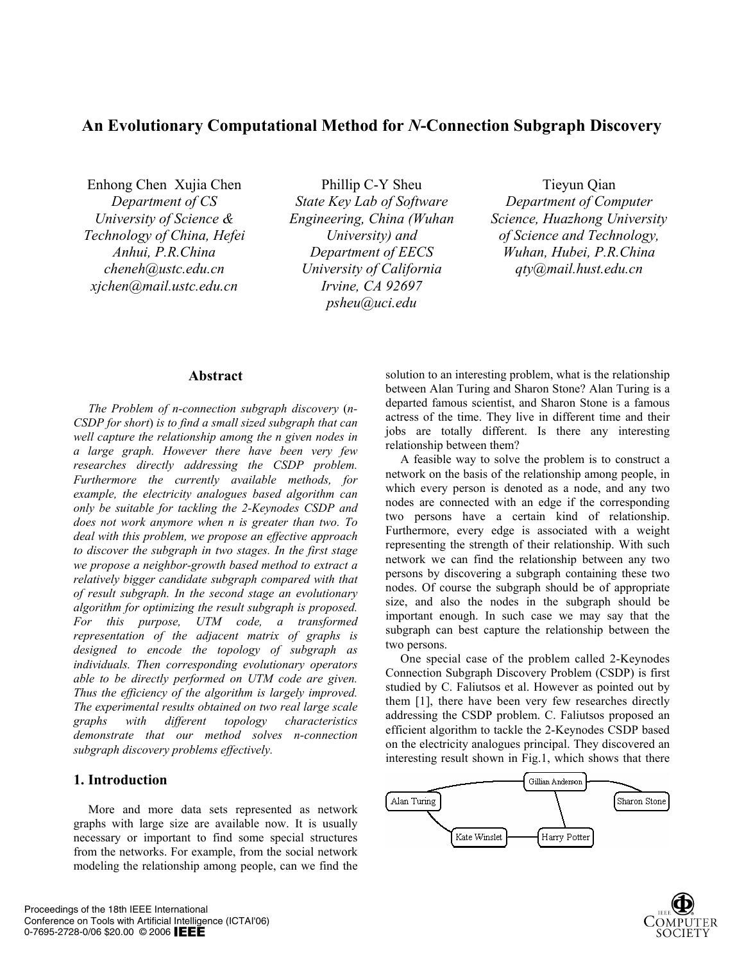# **An Evolutionary Computational Method for** *N***-Connection Subgraph Discovery**

Enhong Chen Xujia Chen *Department of CS University of Science & Technology of China, Hefei Anhui, P.R.China cheneh@ustc.edu.cn xjchen@mail.ustc.edu.cn*

Phillip C-Y Sheu *State Key Lab of Software Engineering, China (Wuhan University) and Department of EECS University of California Irvine, CA 92697 psheu@uci.edu* 

# Tieyun Qian

*Department of Computer Science, Huazhong University of Science and Technology, Wuhan, Hubei, P.R.China qty@mail.hust.edu.cn* 

## **Abstract**

*The Problem of n-connection subgraph discovery* (*n-CSDP for short*) *is to find a small sized subgraph that can well capture the relationship among the n given nodes in a large graph. However there have been very few researches directly addressing the CSDP problem. Furthermore the currently available methods, for example, the electricity analogues based algorithm can only be suitable for tackling the 2-Keynodes CSDP and does not work anymore when n is greater than two. To deal with this problem, we propose an effective approach to discover the subgraph in two stages. In the first stage we propose a neighbor-growth based method to extract a relatively bigger candidate subgraph compared with that of result subgraph. In the second stage an evolutionary algorithm for optimizing the result subgraph is proposed. For this purpose, UTM code, a transformed representation of the adjacent matrix of graphs is designed to encode the topology of subgraph as individuals. Then corresponding evolutionary operators able to be directly performed on UTM code are given. Thus the efficiency of the algorithm is largely improved. The experimental results obtained on two real large scale graphs with different topology characteristics demonstrate that our method solves n-connection subgraph discovery problems effectively.* 

## **1. Introduction**

More and more data sets represented as network graphs with large size are available now. It is usually necessary or important to find some special structures from the networks. For example, from the social network modeling the relationship among people, can we find the

solution to an interesting problem, what is the relationship between Alan Turing and Sharon Stone? Alan Turing is a departed famous scientist, and Sharon Stone is a famous actress of the time. They live in different time and their jobs are totally different. Is there any interesting relationship between them?

A feasible way to solve the problem is to construct a network on the basis of the relationship among people, in which every person is denoted as a node, and any two nodes are connected with an edge if the corresponding two persons have a certain kind of relationship. Furthermore, every edge is associated with a weight representing the strength of their relationship. With such network we can find the relationship between any two persons by discovering a subgraph containing these two nodes. Of course the subgraph should be of appropriate size, and also the nodes in the subgraph should be important enough. In such case we may say that the subgraph can best capture the relationship between the two persons.

One special case of the problem called 2-Keynodes Connection Subgraph Discovery Problem (CSDP) is first studied by C. Faliutsos et al. However as pointed out by them [1], there have been very few researches directly addressing the CSDP problem. C. Faliutsos proposed an efficient algorithm to tackle the 2-Keynodes CSDP based on the electricity analogues principal. They discovered an interesting result shown in Fig.1, which shows that there

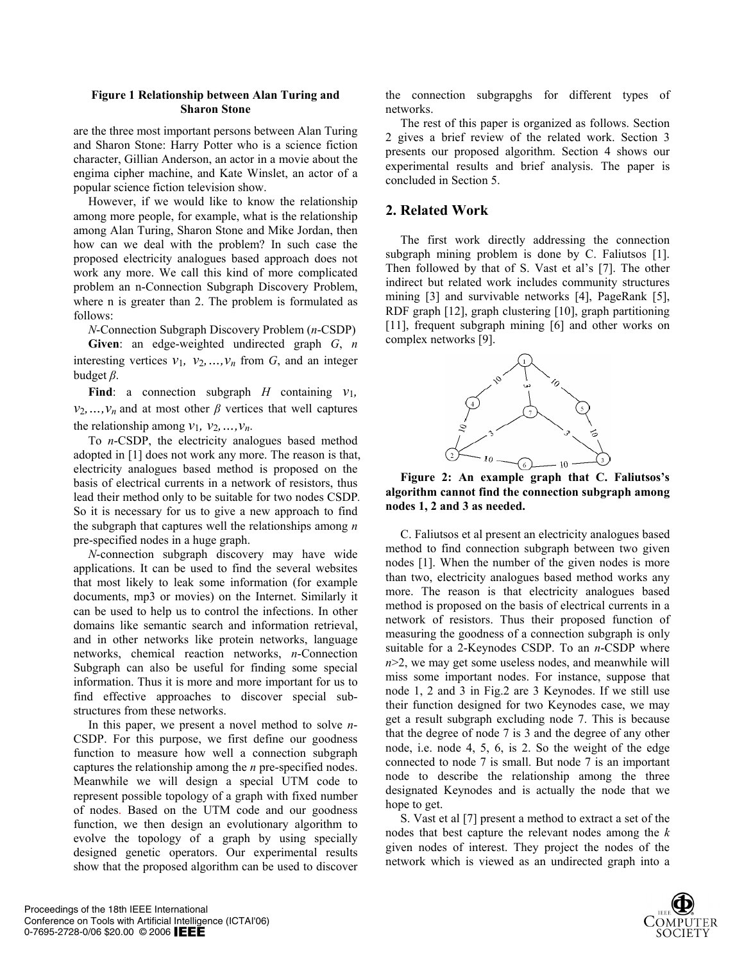### **Figure 1 Relationship between Alan Turing and Sharon Stone**

are the three most important persons between Alan Turing and Sharon Stone: Harry Potter who is a science fiction character, Gillian Anderson, an actor in a movie about the engima cipher machine, and Kate Winslet, an actor of a popular science fiction television show.

However, if we would like to know the relationship among more people, for example, what is the relationship among Alan Turing, Sharon Stone and Mike Jordan, then how can we deal with the problem? In such case the proposed electricity analogues based approach does not work any more. We call this kind of more complicated problem an n-Connection Subgraph Discovery Problem, where n is greater than 2. The problem is formulated as follows:

*N*-Connection Subgraph Discovery Problem (*n*-CSDP)

**Given**: an edge-weighted undirected graph *G*, *n* interesting vertices  $v_1$ ,  $v_2$ , ...,  $v_n$  from  $G$ , and an integer budget *β*.

**Find**: a connection subgraph *H* containing  $v_1$ ,  $v_2, \ldots, v_n$  and at most other *β* vertices that well captures the relationship among  $v_1$ ,  $v_2$ , ...,  $v_n$ .

To *n*-CSDP, the electricity analogues based method adopted in [1] does not work any more. The reason is that, electricity analogues based method is proposed on the basis of electrical currents in a network of resistors, thus lead their method only to be suitable for two nodes CSDP*.*  So it is necessary for us to give a new approach to find the subgraph that captures well the relationships among *n* pre-specified nodes in a huge graph.

*N*-connection subgraph discovery may have wide applications. It can be used to find the several websites that most likely to leak some information (for example documents, mp3 or movies) on the Internet. Similarly it can be used to help us to control the infections. In other domains like semantic search and information retrieval, and in other networks like protein networks, language networks, chemical reaction networks, *n*-Connection Subgraph can also be useful for finding some special information. Thus it is more and more important for us to find effective approaches to discover special substructures from these networks.

In this paper, we present a novel method to solve *n*-CSDP. For this purpose, we first define our goodness function to measure how well a connection subgraph captures the relationship among the *n* pre-specified nodes. Meanwhile we will design a special UTM code to represent possible topology of a graph with fixed number of nodes. Based on the UTM code and our goodness function, we then design an evolutionary algorithm to evolve the topology of a graph by using specially designed genetic operators. Our experimental results show that the proposed algorithm can be used to discover

the connection subgrapghs for different types of networks.

The rest of this paper is organized as follows. Section 2 gives a brief review of the related work. Section 3 presents our proposed algorithm. Section 4 shows our experimental results and brief analysis. The paper is concluded in Section 5.

# **2. Related Work**

The first work directly addressing the connection subgraph mining problem is done by C. Faliutsos [1]. Then followed by that of S. Vast et al's [7]. The other indirect but related work includes community structures mining [3] and survivable networks [4], PageRank [5], RDF graph [12], graph clustering [10], graph partitioning [11], frequent subgraph mining [6] and other works on complex networks [9].



**Figure 2: An example graph that C. Faliutsos's algorithm cannot find the connection subgraph among nodes 1, 2 and 3 as needed.** 

C. Faliutsos et al present an electricity analogues based method to find connection subgraph between two given nodes [1]. When the number of the given nodes is more than two, electricity analogues based method works any more. The reason is that electricity analogues based method is proposed on the basis of electrical currents in a network of resistors. Thus their proposed function of measuring the goodness of a connection subgraph is only suitable for a 2-Keynodes CSDP. To an *n*-CSDP where *n*>2, we may get some useless nodes, and meanwhile will miss some important nodes. For instance, suppose that node 1, 2 and 3 in Fig.2 are 3 Keynodes. If we still use their function designed for two Keynodes case, we may get a result subgraph excluding node 7. This is because that the degree of node 7 is 3 and the degree of any other node, i.e. node 4, 5, 6, is 2. So the weight of the edge connected to node 7 is small. But node 7 is an important node to describe the relationship among the three designated Keynodes and is actually the node that we hope to get.

S. Vast et al [7] present a method to extract a set of the nodes that best capture the relevant nodes among the *k* given nodes of interest. They project the nodes of the network which is viewed as an undirected graph into a

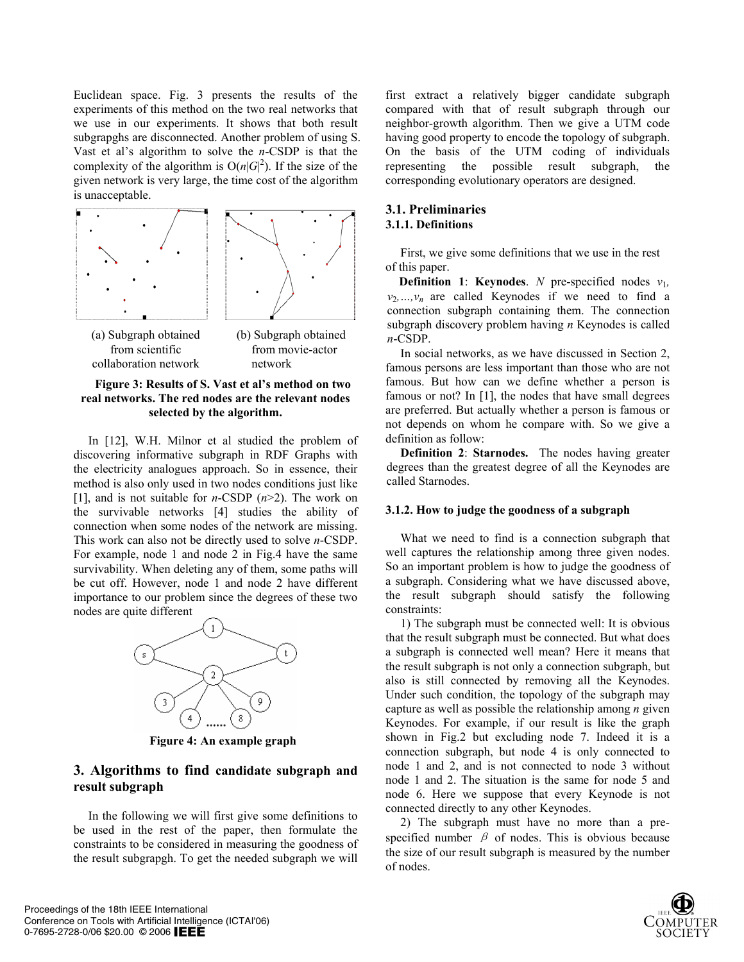Euclidean space. Fig. 3 presents the results of the experiments of this method on the two real networks that we use in our experiments. It shows that both result subgrapghs are disconnected. Another problem of using S. Vast et al's algorithm to solve the *n*-CSDP is that the complexity of the algorithm is  $O(n|G|^2)$ . If the size of the given network is very large, the time cost of the algorithm is unacceptable.



**Figure 3: Results of S. Vast et al's method on two real networks. The red nodes are the relevant nodes selected by the algorithm.** 

In [12], W.H. Milnor et al studied the problem of discovering informative subgraph in RDF Graphs with the electricity analogues approach. So in essence, their method is also only used in two nodes conditions just like [1], and is not suitable for *n*-CSDP (*n*>2). The work on the survivable networks [4] studies the ability of connection when some nodes of the network are missing. This work can also not be directly used to solve *n*-CSDP. For example, node 1 and node 2 in Fig.4 have the same survivability. When deleting any of them, some paths will be cut off. However, node 1 and node 2 have different importance to our problem since the degrees of these two nodes are quite different



**Figure 4: An example graph** 

## **3. Algorithms to find candidate subgraph and result subgraph**

In the following we will first give some definitions to be used in the rest of the paper, then formulate the constraints to be considered in measuring the goodness of the result subgrapgh. To get the needed subgraph we will

first extract a relatively bigger candidate subgraph compared with that of result subgraph through our neighbor-growth algorithm. Then we give a UTM code having good property to encode the topology of subgraph. On the basis of the UTM coding of individuals representing the possible result subgraph, the corresponding evolutionary operators are designed.

## **3.1. Preliminaries 3.1.1. Definitions**

First, we give some definitions that we use in the rest of this paper.

**Definition 1: Keynodes**. *N* pre-specified nodes  $v_1$ ,  $v_2, ..., v_n$  are called Keynodes if we need to find a connection subgraph containing them. The connection subgraph discovery problem having *n* Keynodes is called

In social networks, as we have discussed in Section 2,<br>
collaboration network network than those who are not<br>
famous persons are less important than those who are not famous. But how can we define whether a person is famous or not? In [1], the nodes that have small degrees are preferred. But actually whether a person is famous or not depends on whom he compare with. So we give a definition as follow:

> **Definition 2**: **Starnodes.** The nodes having greater degrees than the greatest degree of all the Keynodes are called Starnodes.

### **3.1.2. How to judge the goodness of a subgraph**

What we need to find is a connection subgraph that well captures the relationship among three given nodes. So an important problem is how to judge the goodness of a subgraph. Considering what we have discussed above, the result subgraph should satisfy the following constraints:

1) The subgraph must be connected well: It is obvious that the result subgraph must be connected. But what does a subgraph is connected well mean? Here it means that the result subgraph is not only a connection subgraph, but also is still connected by removing all the Keynodes. Under such condition, the topology of the subgraph may capture as well as possible the relationship among *n* given Keynodes. For example, if our result is like the graph shown in Fig.2 but excluding node 7. Indeed it is a connection subgraph, but node 4 is only connected to node 1 and 2, and is not connected to node 3 without node 1 and 2. The situation is the same for node 5 and node 6. Here we suppose that every Keynode is not connected directly to any other Keynodes.

2) The subgraph must have no more than a prespecified number  $\beta$  of nodes. This is obvious because the size of our result subgraph is measured by the number of nodes.

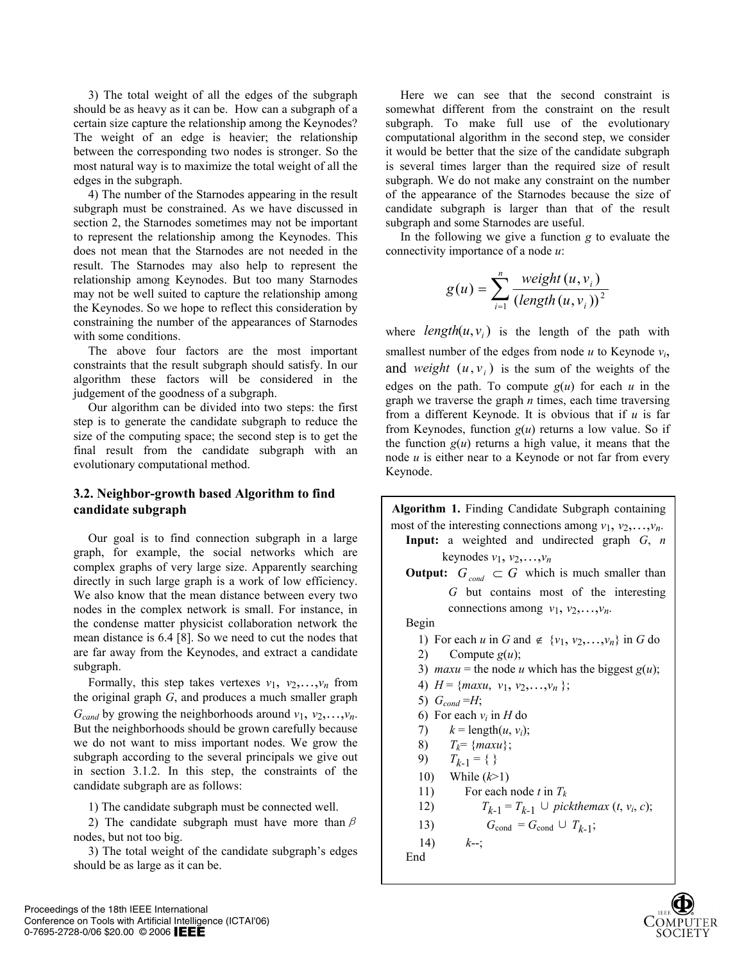3) The total weight of all the edges of the subgraph should be as heavy as it can be. How can a subgraph of a certain size capture the relationship among the Keynodes? The weight of an edge is heavier; the relationship between the corresponding two nodes is stronger. So the most natural way is to maximize the total weight of all the edges in the subgraph.

4) The number of the Starnodes appearing in the result subgraph must be constrained. As we have discussed in section 2, the Starnodes sometimes may not be important to represent the relationship among the Keynodes. This does not mean that the Starnodes are not needed in the result. The Starnodes may also help to represent the relationship among Keynodes. But too many Starnodes may not be well suited to capture the relationship among the Keynodes. So we hope to reflect this consideration by constraining the number of the appearances of Starnodes with some conditions.

The above four factors are the most important constraints that the result subgraph should satisfy. In our algorithm these factors will be considered in the judgement of the goodness of a subgraph.

Our algorithm can be divided into two steps: the first step is to generate the candidate subgraph to reduce the size of the computing space; the second step is to get the final result from the candidate subgraph with an evolutionary computational method.

## **3.2. Neighbor-growth based Algorithm to find candidate subgraph**

Our goal is to find connection subgraph in a large graph, for example, the social networks which are complex graphs of very large size. Apparently searching directly in such large graph is a work of low efficiency. We also know that the mean distance between every two nodes in the complex network is small. For instance, in the condense matter physicist collaboration network the mean distance is 6.4 [8]. So we need to cut the nodes that are far away from the Keynodes, and extract a candidate subgraph.

Formally, this step takes vertexes  $v_1$ ,  $v_2$ , ...,  $v_n$  from the original graph *G*, and produces a much smaller graph  $G_{cand}$  by growing the neighborhoods around  $v_1, v_2, \ldots, v_n$ . But the neighborhoods should be grown carefully because we do not want to miss important nodes. We grow the subgraph according to the several principals we give out in section 3.1.2. In this step, the constraints of the candidate subgraph are as follows:

1) The candidate subgraph must be connected well.

2) The candidate subgraph must have more than  $\beta$ nodes, but not too big.

3) The total weight of the candidate subgraph's edges should be as large as it can be.

Here we can see that the second constraint is somewhat different from the constraint on the result subgraph. To make full use of the evolutionary computational algorithm in the second step, we consider it would be better that the size of the candidate subgraph is several times larger than the required size of result subgraph. We do not make any constraint on the number of the appearance of the Starnodes because the size of candidate subgraph is larger than that of the result subgraph and some Starnodes are useful.

In the following we give a function *g* to evaluate the connectivity importance of a node *u*:

$$
g(u) = \sum_{i=1}^{n} \frac{weight(u, v_i)}{(length(u, v_i))^2}
$$

where  $length(u, v_i)$  is the length of the path with smallest number of the edges from node  $u$  to Keynode  $v_i$ , and weight  $(u, v_i)$  is the sum of the weights of the edges on the path. To compute  $g(u)$  for each *u* in the graph we traverse the graph *n* times, each time traversing from a different Keynode. It is obvious that if *u* is far from Keynodes, function *g*(*u*) returns a low value. So if the function  $g(u)$  returns a high value, it means that the node *u* is either near to a Keynode or not far from every Keynode.

**Algorithm 1.** Finding Candidate Subgraph containing most of the interesting connections among  $v_1, v_2, \ldots, v_n$ . **Input:** a weighted and undirected graph *G*, *n* keynodes  $v_1$ ,  $v_2$ , ...,  $v_n$ **Output:**  $G_{cond} \subset G$  which is much smaller than *G* but contains most of the interesting connections among  $v_1, v_2, \ldots, v_n$ . Begin 1) For each *u* in *G* and  $\notin \{v_1, v_2, \ldots, v_n\}$  in *G* do 2) Compute  $g(u)$ ; 3) *maxu* = the node *u* which has the biggest  $g(u)$ ; 4)  $H = \{maxu, v_1, v_2, \ldots, v_n \};$ 5)  $G_{cond} = H$ ; 6) For each  $v_i$  in *H* do 7)  $k = \text{length}(u, v_i);$ 8)  $T_k = \{maxu\};$ 9)  $T_{k-1} = \{\}$ 10) While (*k*>1) 11) For each node *t* in *Tk* 12)  $T_{k-1} = T_{k-1} \cup pick the max (t, v_i, c);$ 13)  $G_{\text{cond}} = G_{\text{cond}} \cup T_{k-1};$ 14) *k*--; End

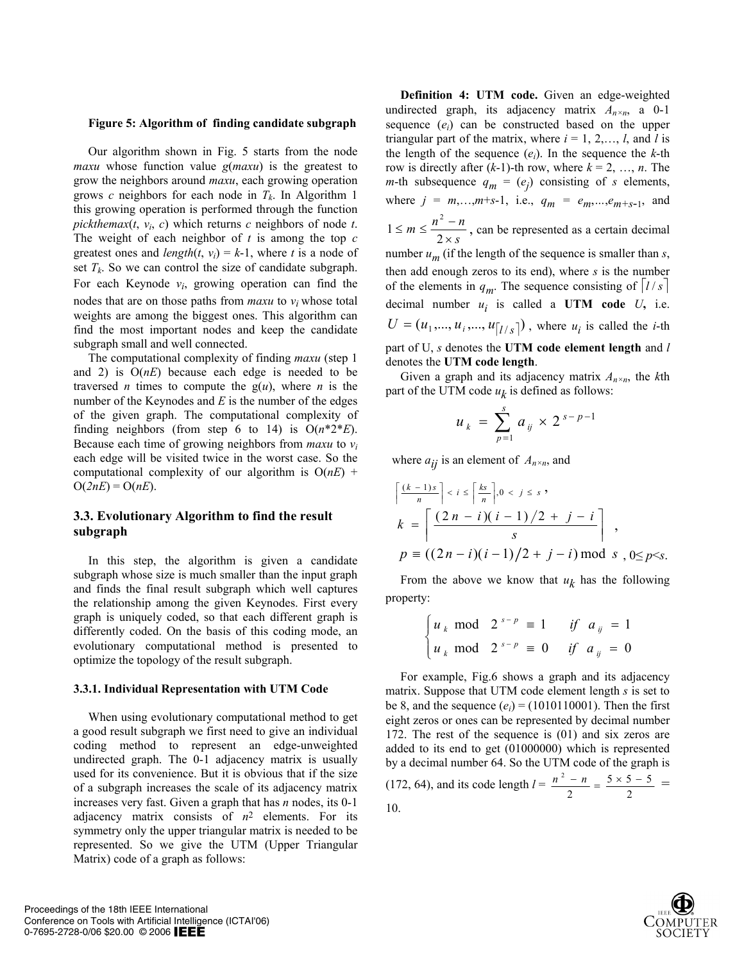#### **Figure 5: Algorithm of finding candidate subgraph**

Our algorithm shown in Fig. 5 starts from the node *maxu* whose function value *g*(*maxu*) is the greatest to grow the neighbors around *maxu*, each growing operation grows *c* neighbors for each node in  $T_k$ . In Algorithm 1 this growing operation is performed through the function *pickthemax*( $t$ ,  $v_i$ ,  $c$ ) which returns  $c$  neighbors of node  $t$ . The weight of each neighbor of *t* is among the top *c* greatest ones and *length*( $t$ ,  $v_i$ ) =  $k$ -1, where  $t$  is a node of set  $T_k$ . So we can control the size of candidate subgraph. For each Keynode  $v_i$ , growing operation can find the nodes that are on those paths from *maxu* to *vi* whose total weights are among the biggest ones. This algorithm can find the most important nodes and keep the candidate subgraph small and well connected.

The computational complexity of finding *maxu* (step 1 and 2) is O(*nE*) because each edge is needed to be traversed *n* times to compute the  $g(u)$ , where *n* is the number of the Keynodes and *E* is the number of the edges of the given graph. The computational complexity of finding neighbors (from step 6 to 14) is  $O(n^*2*E)$ . Because each time of growing neighbors from *maxu* to *vi* each edge will be visited twice in the worst case. So the computational complexity of our algorithm is  $O(nE)$  +  $O(2nE) = O(nE)$ .

## **3.3. Evolutionary Algorithm to find the result subgraph**

In this step, the algorithm is given a candidate subgraph whose size is much smaller than the input graph and finds the final result subgraph which well captures the relationship among the given Keynodes. First every graph is uniquely coded, so that each different graph is differently coded. On the basis of this coding mode, an evolutionary computational method is presented to optimize the topology of the result subgraph.

#### **3.3.1. Individual Representation with UTM Code**

When using evolutionary computational method to get a good result subgraph we first need to give an individual coding method to represent an edge-unweighted undirected graph. The 0-1 adjacency matrix is usually used for its convenience. But it is obvious that if the size of a subgraph increases the scale of its adjacency matrix increases very fast. Given a graph that has *n* nodes, its 0-1 adjacency matrix consists of *n*2 elements. For its symmetry only the upper triangular matrix is needed to be represented. So we give the UTM (Upper Triangular Matrix) code of a graph as follows:

**Definition 4: UTM code.** Given an edge-weighted undirected graph, its adjacency matrix *An×n*, a 0-1 sequence (*ei*) can be constructed based on the upper triangular part of the matrix, where  $i = 1, 2, \ldots, l$ , and *l* is the length of the sequence  $(e_i)$ . In the sequence the *k*-th row is directly after  $(k-1)$ -th row, where  $k = 2, ..., n$ . The *m*-th subsequence  $q_m = (e_j)$  consisting of *s* elements, where  $j = m, ..., m+s-1$ , i.e.,  $q_m = e_m, ..., e_{m+s-1}$ , and *s*  $m \leq \frac{n^2 - n}{2 \times s}$  $\leq m \leq \frac{n^2-1}{2}$ 2  $1 \le m \le \frac{n^2 - n}{2}$ , can be represented as a certain decimal number  $u_m$  (if the length of the sequence is smaller than  $s$ , then add enough zeros to its end), where *s* is the number of the elements in  $q_m$ . The sequence consisting of  $|l/s|$ decimal number  $u_i$  is called a UTM code  $U$ , i.e.  $U = (u_1, ..., u_i, ..., u_{\lfloor l / s \rfloor})$ , where  $u_i$  is called the *i*-th part of U, *s* denotes the **UTM code element length** and *l* denotes the **UTM code length**.

Given a graph and its adjacency matrix *An×n*, the *k*th part of the UTM code  $u_k$  is defined as follows:

$$
u_k = \sum_{p=1}^{s} a_{ij} \times 2^{s-p-1}
$$

where  $a_{ij}$  is an element of  $A_{n \times n}$ , and

$$
\left\{\frac{(k-1)s}{n}\right\} < i \leq \left\{\frac{ks}{n}\right\}, 0 < j \leq s
$$
\n
$$
k = \left\{\frac{(2n-i)(i-1)/2 + j - i}{s}\right\},
$$
\n
$$
p \equiv ((2n-i)(i-1)/2 + j - i) \mod s, 0 \leq p \leq s.
$$

From the above we know that  $u_k$  has the following property:

$$
\begin{cases} u_k \text{ mod } 2^{s-p} \equiv 1 & \text{if } a_{ij} = 1 \\ u_k \text{ mod } 2^{s-p} \equiv 0 & \text{if } a_{ij} = 0 \end{cases}
$$

For example, Fig.6 shows a graph and its adjacency matrix. Suppose that UTM code element length *s* is set to be 8, and the sequence  $(e_i)$  = (1010110001). Then the first eight zeros or ones can be represented by decimal number 172. The rest of the sequence is (01) and six zeros are added to its end to get (01000000) which is represented by a decimal number 64. So the UTM code of the graph is (172, 64), and its code length  $l = \frac{n^2 - n}{2} = \frac{5 \times 5 - 5}{2}$  $\frac{n^2 - n}{2} = \frac{5 \times 5 - 5}{2}$ 10.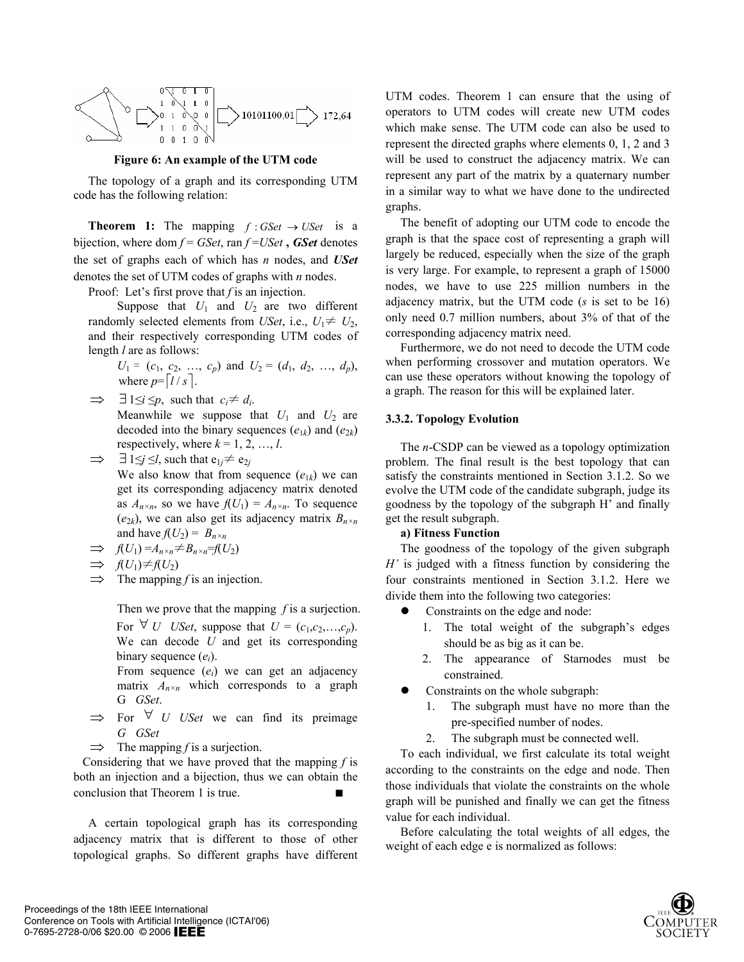

**Figure 6: An example of the UTM code** 

The topology of a graph and its corresponding UTM code has the following relation:

**Theorem 1:** The mapping  $f : GSet \rightarrow \textit{USet}$  is a bijection, where dom  $f = GSet$ , ran  $f = USet$ , *GSet* denotes the set of graphs each of which has *n* nodes, and *USet* denotes the set of UTM codes of graphs with *n* nodes.

Proof: Let's first prove that *f* is an injection.

Suppose that  $U_1$  and  $U_2$  are two different randomly selected elements from *USet*, i.e.,  $U_1 \neq U_2$ , and their respectively corresponding UTM codes of length *l* are as follows:

 $U_1 = (c_1, c_2, ..., c_p)$  and  $U_2 = (d_1, d_2, ..., d_p)$ , where  $p = \lceil l / s \rceil$ .

 $\Rightarrow$   $\exists$  1  $\leq$ *i*  $\leq$ *p*, such that  $c_i \neq d_i$ .

Meanwhile we suppose that  $U_1$  and  $U_2$  are decoded into the binary sequences  $(e_{1k})$  and  $(e_{2k})$ respectively, where  $k = 1, 2, ..., l$ .

 $\Rightarrow$   $\exists$  1 $\leq j \leq l$ , such that  $e_{1j} \neq e_{2j}$ 

We also know that from sequence  $(e_{1k})$  we can get its corresponding adjacency matrix denoted as  $A_{n \times n}$ , so we have  $f(U_1) = A_{n \times n}$ . To sequence  $(e_{2k})$ , we can also get its adjacency matrix  $B_{n \times n}$ and have  $f(U_2) = B_{n \times n}$ 

- $\Rightarrow$   $f(U_1) = A_{n \times n} \neq B_{n \times n} = f(U_2)$
- $\Rightarrow$  *f*(*U*<sub>1</sub>)≠*f*(*U*<sub>2</sub>)
- ⇒ The mapping *f* is an injection.

Then we prove that the mapping *f* is a surjection. For  $\forall$  *U* USet, suppose that  $U = (c_1, c_2, \ldots, c_p)$ . We can decode *U* and get its corresponding binary sequence (*ei*).

From sequence (*ei*) we can get an adjacency matrix  $A_{n \times n}$  which corresponds to a graph G*GSet*.

- ⇒ For ∀ *UUSet* we can find its preimage *GGSet*
- ⇒ The mapping *f* is a surjection.

 Considering that we have proved that the mapping *f* is both an injection and a bijection, thus we can obtain the conclusion that Theorem 1 is true. ■

A certain topological graph has its corresponding adjacency matrix that is different to those of other topological graphs. So different graphs have different

UTM codes. Theorem 1 can ensure that the using of operators to UTM codes will create new UTM codes which make sense. The UTM code can also be used to represent the directed graphs where elements 0, 1, 2 and 3 will be used to construct the adjacency matrix. We can represent any part of the matrix by a quaternary number in a similar way to what we have done to the undirected graphs.

The benefit of adopting our UTM code to encode the graph is that the space cost of representing a graph will largely be reduced, especially when the size of the graph is very large. For example, to represent a graph of 15000 nodes, we have to use 225 million numbers in the adjacency matrix, but the UTM code (*s* is set to be 16) only need 0.7 million numbers, about 3% of that of the corresponding adjacency matrix need.

Furthermore, we do not need to decode the UTM code when performing crossover and mutation operators. We can use these operators without knowing the topology of a graph. The reason for this will be explained later.

### **3.3.2. Topology Evolution**

The *n*-CSDP can be viewed as a topology optimization problem. The final result is the best topology that can satisfy the constraints mentioned in Section 3.1.2. So we evolve the UTM code of the candidate subgraph, judge its goodness by the topology of the subgraph H' and finally get the result subgraph.

### **a) Fitness Function**

The goodness of the topology of the given subgraph *H'* is judged with a fitness function by considering the four constraints mentioned in Section 3.1.2. Here we divide them into the following two categories:

- Constraints on the edge and node:
	- 1. The total weight of the subgraph's edges should be as big as it can be.
	- 2. The appearance of Starnodes must be constrained.
- Constraints on the whole subgraph:
	- 1. The subgraph must have no more than the pre-specified number of nodes.
	- 2. The subgraph must be connected well.

To each individual, we first calculate its total weight according to the constraints on the edge and node. Then those individuals that violate the constraints on the whole graph will be punished and finally we can get the fitness value for each individual.

Before calculating the total weights of all edges, the weight of each edge e is normalized as follows: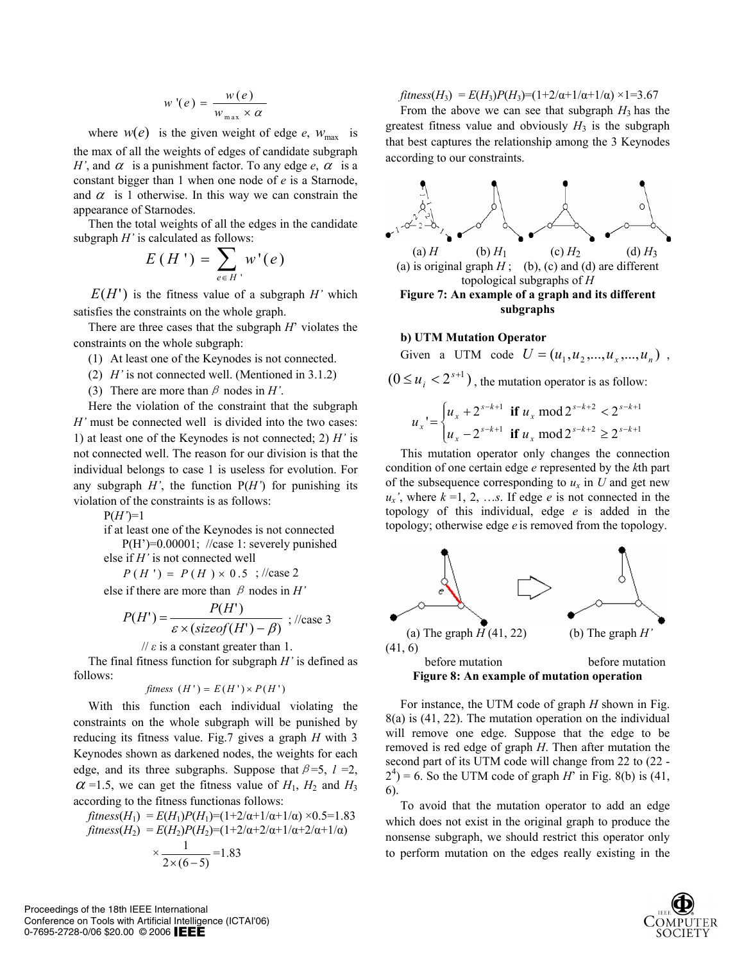$$
w'(e) = \frac{w(e)}{w_{\max} \times \alpha}
$$

where  $w(e)$  is the given weight of edge *e*,  $w_{\text{max}}$  is the max of all the weights of edges of candidate subgraph *H'*, and  $\alpha$  is a punishment factor. To any edge *e*,  $\alpha$  is a constant bigger than 1 when one node of *e* is a Starnode, and  $\alpha$  is 1 otherwise. In this way we can constrain the appearance of Starnodes.

Then the total weights of all the edges in the candidate subgraph *H'* is calculated as follows:

$$
E(H') = \sum_{e \in H'} w'(e)
$$

 $E(H')$  is the fitness value of a subgraph *H'* which satisfies the constraints on the whole graph.

There are three cases that the subgraph *H*' violates the constraints on the whole subgraph:

- (1) At least one of the Keynodes is not connected.
- (2) *H'* is not connected well. (Mentioned in 3.1.2)
- (3) There are more than  $\beta$  nodes in *H'*.

Here the violation of the constraint that the subgraph *H'* must be connected well is divided into the two cases: 1) at least one of the Keynodes is not connected; 2) *H'* is not connected well. The reason for our division is that the individual belongs to case 1 is useless for evolution. For any subgraph  $H'$ , the function  $P(H')$  for punishing its violation of the constraints is as follows:

 $P(H')=1$ 

if at least one of the Keynodes is not connected P(H')=0.00001; //case 1: severely punished

else if *H'* is not connected well

 $P(H') = P(H) \times 0.5$ ;//case 2

else if there are more than  $\beta$  nodes in *H*'

$$
P(H') = \frac{P(H')}{\varepsilon \times (sizeof(H') - \beta)} \, ; \, \text{l/case 3}
$$

 $\theta$  *is* a constant greater than 1.

The final fitness function for subgraph *H'* is defined as follows:

$$
fitness (H') = E(H') \times P(H')
$$

With this function each individual violating the constraints on the whole subgraph will be punished by reducing its fitness value. Fig.7 gives a graph *H* with 3 Keynodes shown as darkened nodes, the weights for each edge, and its three subgraphs. Suppose that  $\beta = 5$ ,  $l = 2$ ,  $\alpha$  =1.5, we can get the fitness value of  $H_1$ ,  $H_2$  and  $H_3$ according to the fitness functionas follows:

$$
fitness(H_1) = E(H_1)P(H_1) = (1+2/\alpha+1/\alpha+1/\alpha) \times 0.5=1.83
$$
  

$$
fitness(H_2) = E(H_2)P(H_2) = (1+2/\alpha+2/\alpha+1/\alpha+2/\alpha+1/\alpha)
$$
  

$$
\times \frac{1}{2 \times (6-5)} = 1.83
$$

 $fitness(H_3) = E(H_3)P(H_3)=(1+2/\alpha+1/\alpha+1/\alpha) \times 1=3.67$ 

From the above we can see that subgraph  $H_3$  has the greatest fitness value and obviously  $H_3$  is the subgraph that best captures the relationship among the 3 Keynodes according to our constraints.



**Figure 7: An example of a graph and its different subgraphs** 

### **b) UTM Mutation Operator**

Given a UTM code 
$$
U = (u_1, u_2, ..., u_x, ..., u_n)
$$
,

 $(0 \le u_i < 2^{s+1})$ , the mutation operator is as follow:

$$
u_x = \begin{cases} u_x + 2^{s-k+1} & \text{if } u_x \text{ mod } 2^{s-k+2} < 2^{s-k+1} \\ u_x - 2^{s-k+1} & \text{if } u_x \text{ mod } 2^{s-k+2} \ge 2^{s-k+1} \end{cases}
$$

This mutation operator only changes the connection condition of one certain edge *e* represented by the *k*th part of the subsequence corresponding to  $u_x$  in  $U$  and get new  $u_x$ <sup>'</sup>, where  $k = 1, 2, \ldots s$ . If edge *e* is not connected in the topology of this individual, edge *e* is added in the topology; otherwise edge *e* is removed from the topology.



For instance, the UTM code of graph *H* shown in Fig. 8(a) is (41, 22). The mutation operation on the individual will remove one edge. Suppose that the edge to be removed is red edge of graph *H*. Then after mutation the second part of its UTM code will change from 22 to (22 -  $2<sup>4</sup>$ ) = 6. So the UTM code of graph *H*<sup>'</sup> in Fig. 8(b) is (41, 6).

To avoid that the mutation operator to add an edge which does not exist in the original graph to produce the nonsense subgraph, we should restrict this operator only to perform mutation on the edges really existing in the



Proceedings of the 18th IEEE International Conference on Tools with Artificial Intelligence (ICTAI'06) 0-7695-2728-0/06 \$20.00 © 2006 IEEE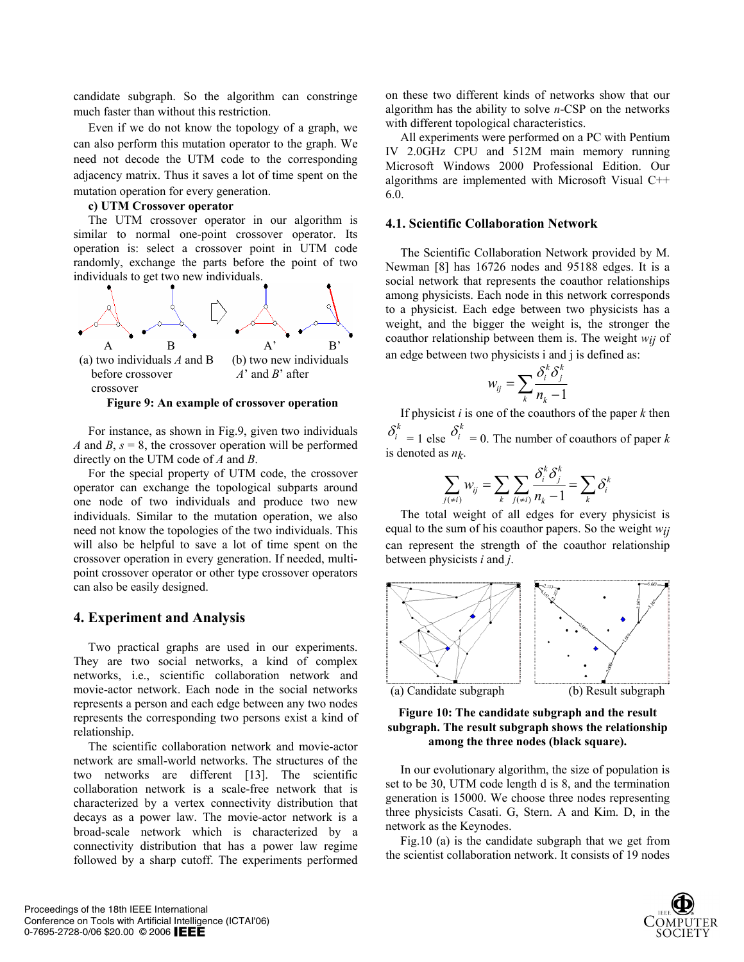candidate subgraph. So the algorithm can constringe much faster than without this restriction.

Even if we do not know the topology of a graph, we can also perform this mutation operator to the graph. We need not decode the UTM code to the corresponding adjacency matrix. Thus it saves a lot of time spent on the mutation operation for every generation.

### **c) UTM Crossover operator**

The UTM crossover operator in our algorithm is similar to normal one-point crossover operator. Its operation is: select a crossover point in UTM code randomly, exchange the parts before the point of two individuals to get two new individuals.



For instance, as shown in Fig.9, given two individuals *A* and *B*,  $s = 8$ , the crossover operation will be performed directly on the UTM code of *A* and *B*.

For the special property of UTM code, the crossover operator can exchange the topological subparts around one node of two individuals and produce two new individuals. Similar to the mutation operation, we also need not know the topologies of the two individuals. This will also be helpful to save a lot of time spent on the crossover operation in every generation. If needed, multipoint crossover operator or other type crossover operators can also be easily designed.

## **4. Experiment and Analysis**

Two practical graphs are used in our experiments. They are two social networks, a kind of complex networks, i.e., scientific collaboration network and movie-actor network. Each node in the social networks represents a person and each edge between any two nodes represents the corresponding two persons exist a kind of relationship.

The scientific collaboration network and movie-actor network are small-world networks. The structures of the two networks are different [13]. The scientific collaboration network is a scale-free network that is characterized by a vertex connectivity distribution that decays as a power law. The movie-actor network is a broad-scale network which is characterized by a connectivity distribution that has a power law regime followed by a sharp cutoff. The experiments performed on these two different kinds of networks show that our algorithm has the ability to solve *n*-CSP on the networks with different topological characteristics.

All experiments were performed on a PC with Pentium IV 2.0GHz CPU and 512M main memory running Microsoft Windows 2000 Professional Edition. Our algorithms are implemented with Microsoft Visual C++ 6.0.

### **4.1. Scientific Collaboration Network**

The Scientific Collaboration Network provided by M. Newman [8] has 16726 nodes and 95188 edges. It is a social network that represents the coauthor relationships among physicists. Each node in this network corresponds to a physicist. Each edge between two physicists has a weight, and the bigger the weight is, the stronger the coauthor relationship between them is. The weight *wij* of an edge between two physicists i and j is defined as:

$$
w_{ij} = \sum_{k} \frac{\delta_i^k \delta_j^k}{n_k - 1}
$$

If physicist *i* is one of the coauthors of the paper *k* then  $\delta_i^k = 1$  else  $\delta_i^k = 0$ . The number of coauthors of paper *k* is denoted as *nk*.

$$
\sum_{j(\neq i)} w_{ij} = \sum_{k} \sum_{j(\neq i)} \frac{\delta_i^k \delta_j^k}{n_k - 1} = \sum_{k} \delta_i^k
$$

The total weight of all edges for every physicist is equal to the sum of his coauthor papers. So the weight *wij*  can represent the strength of the coauthor relationship between physicists *i* and *j*.



### **Figure 10: The candidate subgraph and the result subgraph. The result subgraph shows the relationship among the three nodes (black square).**

In our evolutionary algorithm, the size of population is set to be 30, UTM code length d is 8, and the termination generation is 15000. We choose three nodes representing three physicists Casati. G, Stern. A and Kim. D, in the network as the Keynodes.

Fig.10 (a) is the candidate subgraph that we get from the scientist collaboration network. It consists of 19 nodes

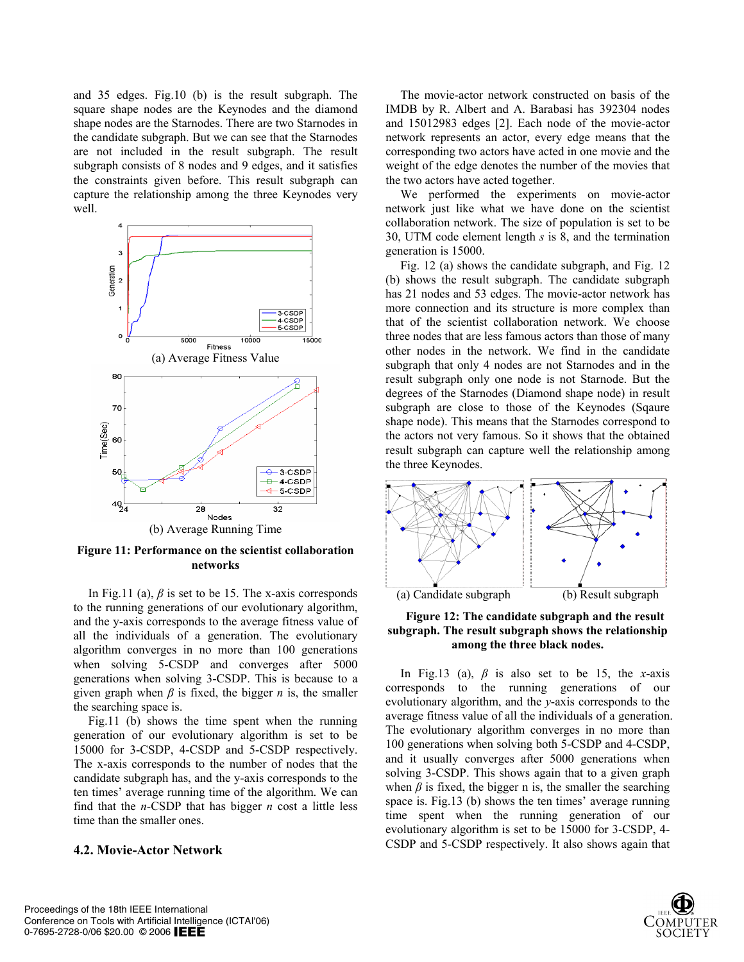and 35 edges. Fig.10 (b) is the result subgraph. The square shape nodes are the Keynodes and the diamond shape nodes are the Starnodes. There are two Starnodes in the candidate subgraph. But we can see that the Starnodes are not included in the result subgraph. The result subgraph consists of 8 nodes and 9 edges, and it satisfies the constraints given before. This result subgraph can capture the relationship among the three Keynodes very well.



**Figure 11: Performance on the scientist collaboration networks** 

In Fig.11 (a),  $\beta$  is set to be 15. The x-axis corresponds to the running generations of our evolutionary algorithm, and the y-axis corresponds to the average fitness value of all the individuals of a generation. The evolutionary algorithm converges in no more than 100 generations when solving 5-CSDP and converges after 5000 generations when solving 3-CSDP. This is because to a given graph when  $\beta$  is fixed, the bigger *n* is, the smaller the searching space is.

Fig.11 (b) shows the time spent when the running generation of our evolutionary algorithm is set to be 15000 for 3-CSDP, 4-CSDP and 5-CSDP respectively. The x-axis corresponds to the number of nodes that the candidate subgraph has, and the y-axis corresponds to the ten times' average running time of the algorithm. We can find that the *n*-CSDP that has bigger *n* cost a little less time than the smaller ones.

### **4.2. Movie-Actor Network**

The movie-actor network constructed on basis of the IMDB by R. Albert and A. Barabasi has 392304 nodes and 15012983 edges [2]. Each node of the movie-actor network represents an actor, every edge means that the corresponding two actors have acted in one movie and the weight of the edge denotes the number of the movies that the two actors have acted together.

We performed the experiments on movie-actor network just like what we have done on the scientist collaboration network. The size of population is set to be 30, UTM code element length *s* is 8, and the termination generation is 15000.

Fig. 12 (a) shows the candidate subgraph, and Fig. 12 (b) shows the result subgraph. The candidate subgraph has 21 nodes and 53 edges. The movie-actor network has more connection and its structure is more complex than that of the scientist collaboration network. We choose three nodes that are less famous actors than those of many other nodes in the network. We find in the candidate subgraph that only 4 nodes are not Starnodes and in the result subgraph only one node is not Starnode. But the degrees of the Starnodes (Diamond shape node) in result subgraph are close to those of the Keynodes (Sqaure shape node). This means that the Starnodes correspond to the actors not very famous. So it shows that the obtained result subgraph can capture well the relationship among the three Keynodes.





In Fig.13 (a),  $\beta$  is also set to be 15, the *x*-axis corresponds to the running generations of our evolutionary algorithm, and the *y*-axis corresponds to the average fitness value of all the individuals of a generation. The evolutionary algorithm converges in no more than 100 generations when solving both 5-CSDP and 4-CSDP, and it usually converges after 5000 generations when solving 3-CSDP. This shows again that to a given graph when  $\beta$  is fixed, the bigger n is, the smaller the searching space is. Fig.13 (b) shows the ten times' average running time spent when the running generation of our evolutionary algorithm is set to be 15000 for 3-CSDP, 4- CSDP and 5-CSDP respectively. It also shows again that